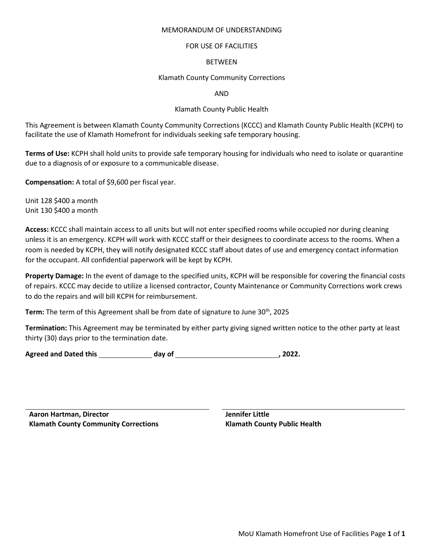### MEMORANDUM OF UNDERSTANDING

# FOR USE OF FACILITIES

## BETWEEN

# Klamath County Community Corrections

AND

## Klamath County Public Health

This Agreement is between Klamath County Community Corrections (KCCC) and Klamath County Public Health (KCPH) to facilitate the use of Klamath Homefront for individuals seeking safe temporary housing.

**Terms of Use:** KCPH shall hold units to provide safe temporary housing for individuals who need to isolate or quarantine due to a diagnosis of or exposure to a communicable disease.

**Compensation:** A total of \$9,600 per fiscal year.

Unit 128 \$400 a month Unit 130 \$400 a month

**Access:** KCCC shall maintain access to all units but will not enter specified rooms while occupied nor during cleaning unless it is an emergency. KCPH will work with KCCC staff or their designees to coordinate access to the rooms. When a room is needed by KCPH, they will notify designated KCCC staff about dates of use and emergency contact information for the occupant. All confidential paperwork will be kept by KCPH.

**Property Damage:** In the event of damage to the specified units, KCPH will be responsible for covering the financial costs of repairs. KCCC may decide to utilize a licensed contractor, County Maintenance or Community Corrections work crews to do the repairs and will bill KCPH for reimbursement.

**Term:** The term of this Agreement shall be from date of signature to June 30<sup>th</sup>, 2025

**Termination:** This Agreement may be terminated by either party giving signed written notice to the other party at least thirty (30) days prior to the termination date.

Agreed and Dated this **and a set of the contract of the contract of the contract of the contract of the contract of the contract of the contract of the contract of the contract of the contract of the contract of the contra** 

**Aaron Hartman, Director Jennifer Little Klamath County Community Corrections Klamath County Public Health**